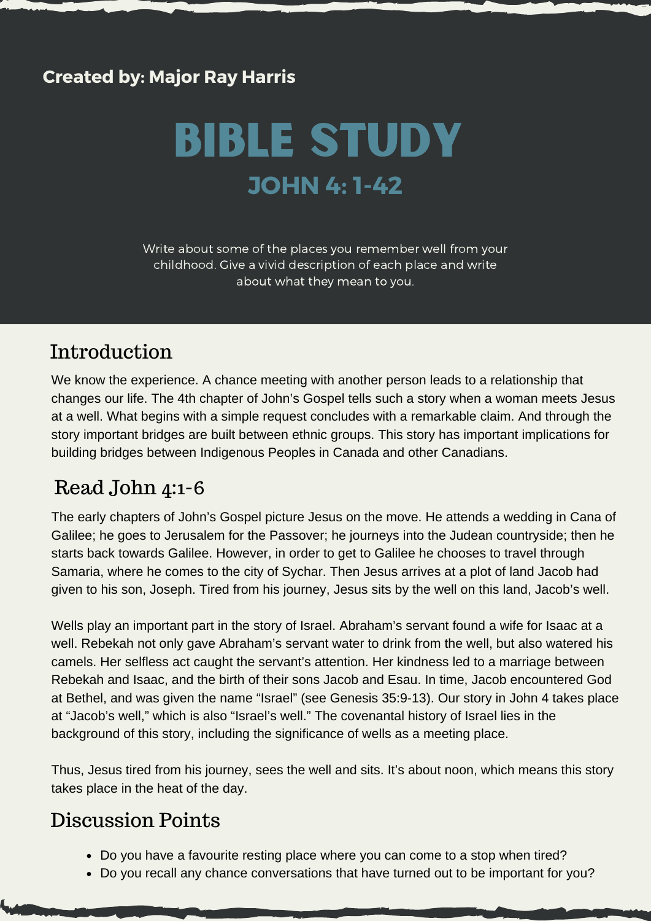## **Created by: Major Ray Harris**

# BIble Study **JOHN 4: 1-42**

Write about some of the places you remember well from your childhood. Give a vivid description of each place and write about what they mean to you.

# Introduction

We know the experience. A chance meeting with another person leads to a relationship that changes our life. The 4th chapter of John's Gospel tells such a story when a woman meets Jesus at a well. What begins with a simple request concludes with a remarkable claim. And through the story important bridges are built between ethnic groups. This story has important implications for building bridges between Indigenous Peoples in Canada and other Canadians.

# Read John 4:1-6

The early chapters of John's Gospel picture Jesus on the move. He attends a wedding in Cana of Galilee; he goes to Jerusalem for the Passover; he journeys into the Judean countryside; then he starts back towards Galilee. However, in order to get to Galilee he chooses to travel through Samaria, where he comes to the city of Sychar. Then Jesus arrives at a plot of land Jacob had given to his son, Joseph. Tired from his journey, Jesus sits by the well on this land, Jacob's well.

Wells play an important part in the story of Israel. Abraham's servant found a wife for Isaac at a well. Rebekah not only gave Abraham's servant water to drink from the well, but also watered his camels. Her selfless act caught the servant's attention. Her kindness led to a marriage between Rebekah and Isaac, and the birth of their sons Jacob and Esau. In time, Jacob encountered God at Bethel, and was given the name "Israel" (see Genesis 35:9-13). Our story in John 4 takes place at "Jacob's well," which is also "Israel's well." The covenantal history of Israel lies in the background of this story, including the significance of wells as a meeting place.

Thus, Jesus tired from his journey, sees the well and sits. It's about noon, which means this story takes place in the heat of the day.

- Do you have a favourite resting place where you can come to a stop when tired?
- Do you recall any chance conversations that have turned out to be important for you?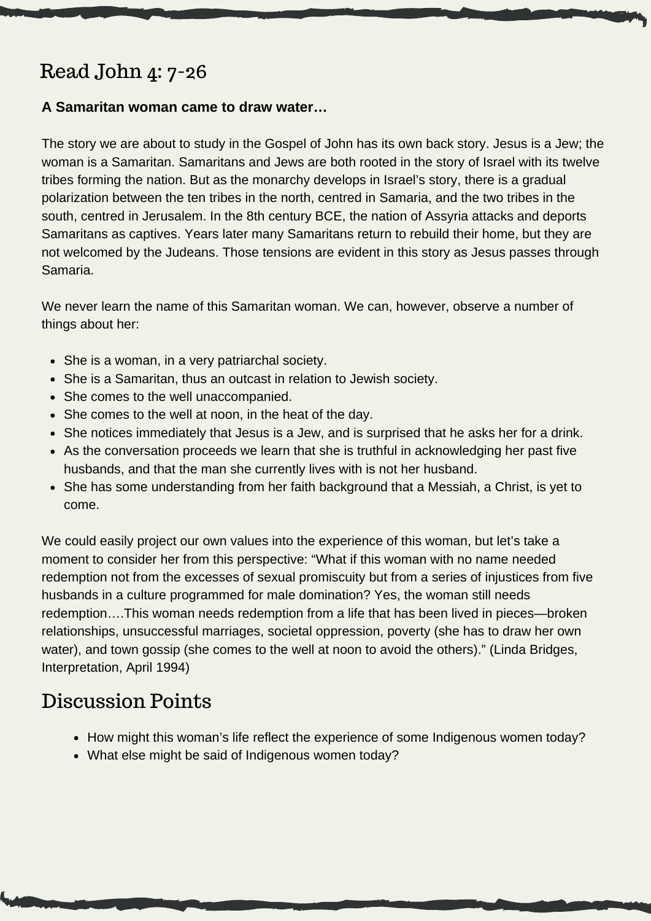# Read John 4: 7-26

#### **A Samaritan woman came to draw water…**

The story we are about to study in the Gospel of John has its own back story. Jesus is a Jew; the woman is a Samaritan. Samaritans and Jews are both rooted in the story of Israel with its twelve tribes forming the nation. But as the monarchy develops in Israel's story, there is a gradual polarization between the ten tribes in the north, centred in Samaria, and the two tribes in the south, centred in Jerusalem. In the 8th century BCE, the nation of Assyria attacks and deports Samaritans as captives. Years later many Samaritans return to rebuild their home, but they are not welcomed by the Judeans. Those tensions are evident in this story as Jesus passes through Samaria.

We never learn the name of this Samaritan woman. We can, however, observe a number of things about her:

- She is a woman, in a very patriarchal society.
- She is a Samaritan, thus an outcast in relation to Jewish society.
- She comes to the well unaccompanied.
- She comes to the well at noon, in the heat of the day.
- She notices immediately that Jesus is a Jew, and is surprised that he asks her for a drink.
- As the conversation proceeds we learn that she is truthful in acknowledging her past five husbands, and that the man she currently lives with is not her husband.
- She has some understanding from her faith background that a Messiah, a Christ, is yet to come.

We could easily project our own values into the experience of this woman, but let's take a moment to consider her from this perspective: "What if this woman with no name needed redemption not from the excesses of sexual promiscuity but from a series of injustices from five husbands in a culture programmed for male domination? Yes, the woman still needs redemption….This woman needs redemption from a life that has been lived in pieces—broken relationships, unsuccessful marriages, societal oppression, poverty (she has to draw her own water), and town gossip (she comes to the well at noon to avoid the others)." (Linda Bridges, Interpretation, April 1994)

- How might this woman's life reflect the experience of some Indigenous women today?
- What else might be said of Indigenous women today?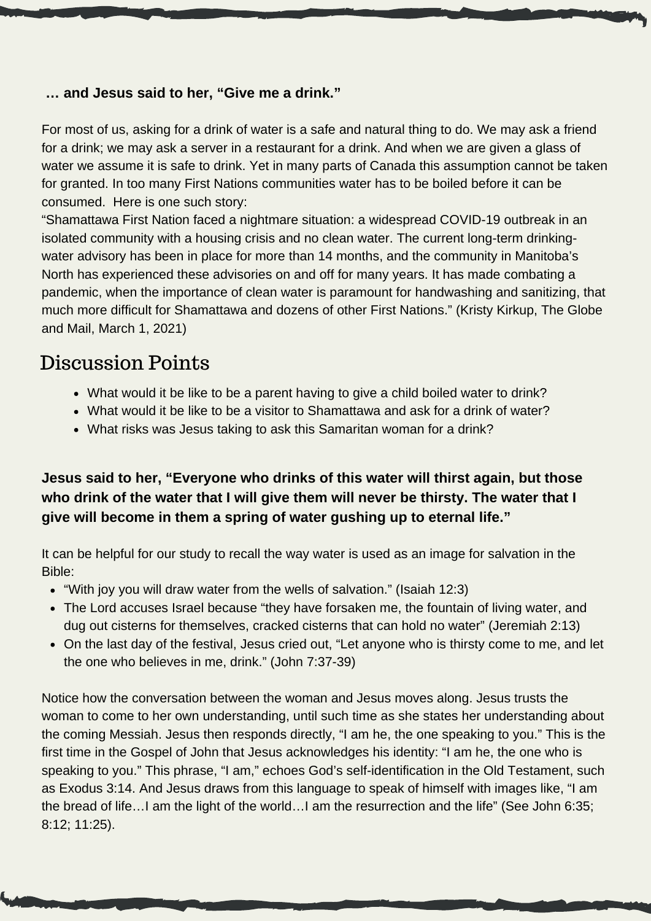#### **… and Jesus said to her, "Give me a drink."**

For most of us, asking for a drink of water is a safe and natural thing to do. We may ask a friend for a drink; we may ask a server in a restaurant for a drink. And when we are given a glass of water we assume it is safe to drink. Yet in many parts of Canada this assumption cannot be taken for granted. In too many First Nations communities water has to be boiled before it can be consumed. Here is one such story:

"Shamattawa First Nation faced a nightmare situation: a widespread COVID-19 outbreak in an isolated community with a housing crisis and no clean water. The current long-term drinkingwater advisory has been in place for more than 14 months, and the community in Manitoba's North has experienced these advisories on and off for many years. It has made combating a pandemic, when the importance of clean water is paramount for handwashing and sanitizing, that much more difficult for Shamattawa and dozens of other First Nations." (Kristy Kirkup, The Globe and Mail, March 1, 2021)

## Discussion Points

- What would it be like to be a parent having to give a child boiled water to drink?
- What would it be like to be a visitor to Shamattawa and ask for a drink of water?
- What risks was Jesus taking to ask this Samaritan woman for a drink?

## **Jesus said to her, "Everyone who drinks of this water will thirst again, but those who drink of the water that I will give them will never be thirsty. The water that I give will become in them a spring of water gushing up to eternal life."**

It can be helpful for our study to recall the way water is used as an image for salvation in the Bible:

- "With joy you will draw water from the wells of salvation." (Isaiah 12:3)
- The Lord accuses Israel because "they have forsaken me, the fountain of living water, and dug out cisterns for themselves, cracked cisterns that can hold no water" (Jeremiah 2:13)
- On the last day of the festival, Jesus cried out, "Let anyone who is thirsty come to me, and let the one who believes in me, drink." (John 7:37-39)

Notice how the conversation between the woman and Jesus moves along. Jesus trusts the woman to come to her own understanding, until such time as she states her understanding about the coming Messiah. Jesus then responds directly, "I am he, the one speaking to you." This is the first time in the Gospel of John that Jesus acknowledges his identity: "I am he, the one who is speaking to you." This phrase, "I am," echoes God's self-identification in the Old Testament, such as Exodus 3:14. And Jesus draws from this language to speak of himself with images like, "I am the bread of life…I am the light of the world…I am the resurrection and the life" (See John 6:35; 8:12; 11:25).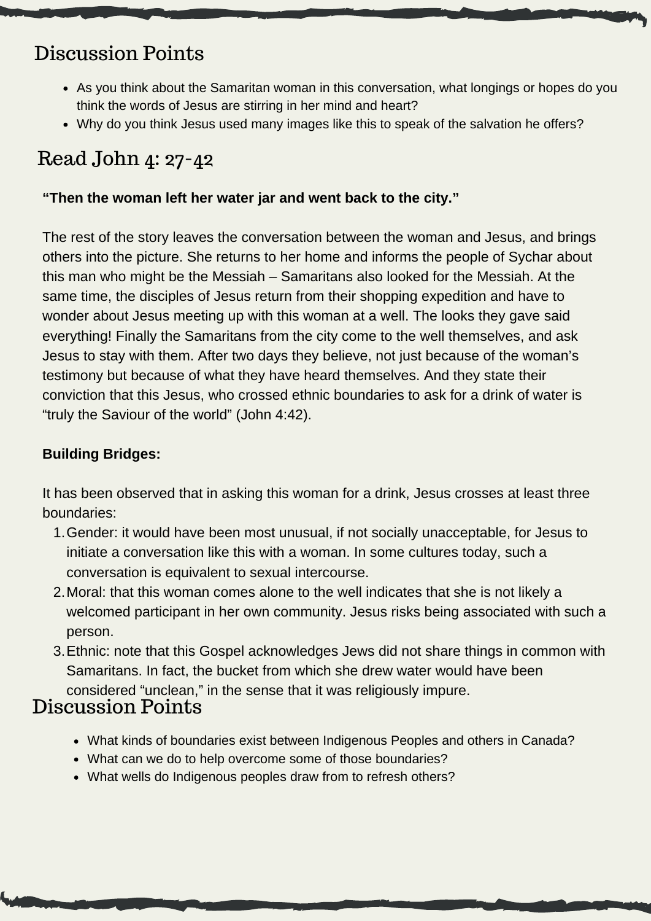# Discussion Points

- As you think about the Samaritan woman in this conversation, what longings or hopes do you think the words of Jesus are stirring in her mind and heart?
- Why do you think Jesus used many images like this to speak of the salvation he offers?

## Read John 4: 27-42

## **"Then the woman left her water jar and went back to the city."**

The rest of the story leaves the conversation between the woman and Jesus, and brings others into the picture. She returns to her home and informs the people of Sychar about this man who might be the Messiah – Samaritans also looked for the Messiah. At the same time, the disciples of Jesus return from their shopping expedition and have to wonder about Jesus meeting up with this woman at a well. The looks they gave said everything! Finally the Samaritans from the city come to the well themselves, and ask Jesus to stay with them. After two days they believe, not just because of the woman's testimony but because of what they have heard themselves. And they state their conviction that this Jesus, who crossed ethnic boundaries to ask for a drink of water is "truly the Saviour of the world" (John 4:42).

### **Building Bridges:**

It has been observed that in asking this woman for a drink, Jesus crosses at least three boundaries:

- 1. Gender: it would have been most unusual, if not socially unacceptable, for Jesus to initiate a conversation like this with a woman. In some cultures today, such a conversation is equivalent to sexual intercourse.
- Moral: that this woman comes alone to the well indicates that she is not likely a 2. welcomed participant in her own community. Jesus risks being associated with such a person.
- 3. Ethnic: note that this Gospel acknowledges Jews did not share things in common with Samaritans. In fact, the bucket from which she drew water would have been

## considered "unclean," in the sense that it was religiously impure.

- What kinds of boundaries exist between Indigenous Peoples and others in Canada?
- What can we do to help overcome some of those boundaries?
- What wells do Indigenous peoples draw from to refresh others?